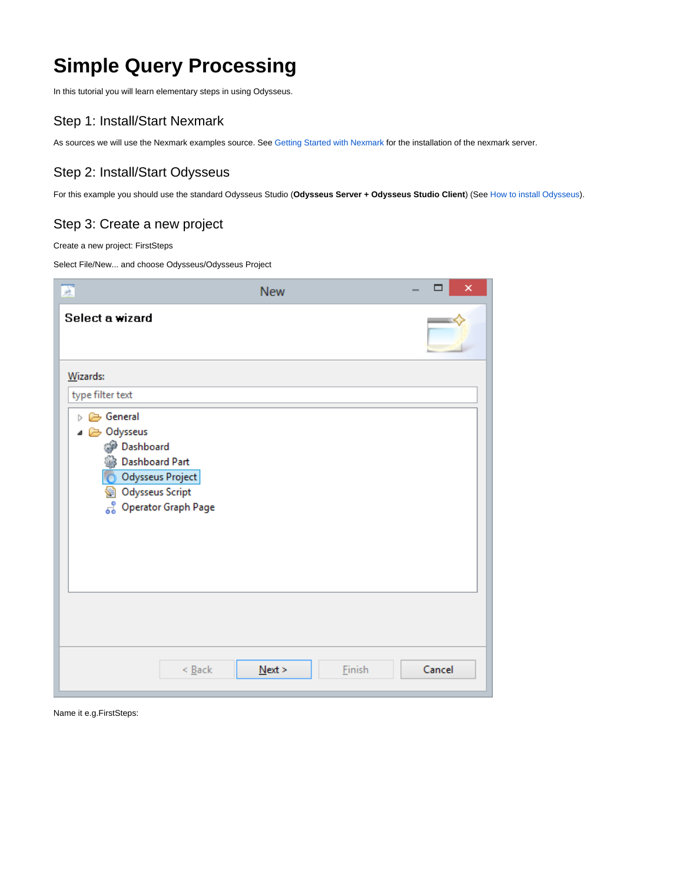# **Simple Query Processing**

In this tutorial you will learn elementary steps in using Odysseus.

## Step 1: Install/Start Nexmark

As sources we will use the Nexmark examples source. See [Getting Started with Nexmark](https://wiki.odysseus.informatik.uni-oldenburg.de/display/ODYSSEUS/Getting+Started+with+Nexmark) for the installation of the nexmark server.

## Step 2: Install/Start Odysseus

For this example you should use the standard Odysseus Studio (**Odysseus Server + Odysseus Studio Client**) (See [How to install Odysseus\)](https://wiki.odysseus.informatik.uni-oldenburg.de/display/ODYSSEUS/How+to+install+Odysseus).

#### Step 3: Create a new project

Create a new project: FirstSteps

Select File/New... and choose Odysseus/Odysseus Project

| 厦                                                                                                                                               | <b>New</b> |        | □      | $\boldsymbol{\mathsf{x}}$ |
|-------------------------------------------------------------------------------------------------------------------------------------------------|------------|--------|--------|---------------------------|
| Select a wizard                                                                                                                                 |            |        |        |                           |
| Wizards:                                                                                                                                        |            |        |        |                           |
| type filter text                                                                                                                                |            |        |        |                           |
| D General<br>△ a Odysseus<br><b>Dashboard</b><br><b>Dashboard Part</b><br>Odysseus Project<br>© Odysseus Script<br><b>8</b> Operator Graph Page |            |        |        |                           |
| $\leq$ Back                                                                                                                                     | Next       | Einish | Cancel |                           |

Name it e.g.FirstSteps: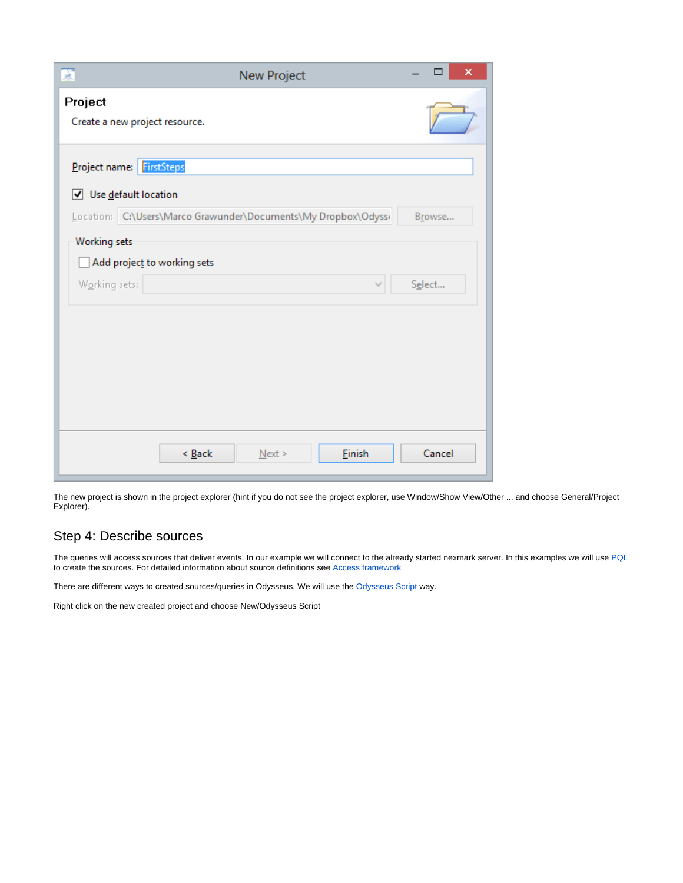| 颪<br><b>New Project</b>                                                               | □<br>× |
|---------------------------------------------------------------------------------------|--------|
| Project<br>Create a new project resource.                                             |        |
| FirstSteps<br>Project name:<br>■ Use default location                                 |        |
| Location: C:\Users\Marco Grawunder\Documents\My Dropbox\Odyssi<br><b>Working sets</b> | Browse |
| Add project to working sets<br>Working sets:                                          | Select |
|                                                                                       |        |
|                                                                                       |        |
|                                                                                       |        |
| $\leq$ Back<br>Einish<br>Next                                                         | Cancel |

The new project is shown in the project explorer (hint if you do not see the project explorer, use Window/Show View/Other ... and choose General/Project Explorer).

#### Step 4: Describe sources

The queries will access sources that deliver events. In our example we will connect to the already started nexmark server. In this examples we will use [PQL](https://wiki.odysseus.informatik.uni-oldenburg.de/pages/viewpage.action?pageId=4587829) to create the sources. For detailed information about source definitions see [Access framework](https://wiki.odysseus.informatik.uni-oldenburg.de/display/ODYSSEUS/Access+framework)

There are different ways to created sources/queries in Odysseus. We will use the [Odysseus Script](https://wiki.odysseus.informatik.uni-oldenburg.de/display/ODYSSEUS/Odysseus+Script) way.

Right click on the new created project and choose New/Odysseus Script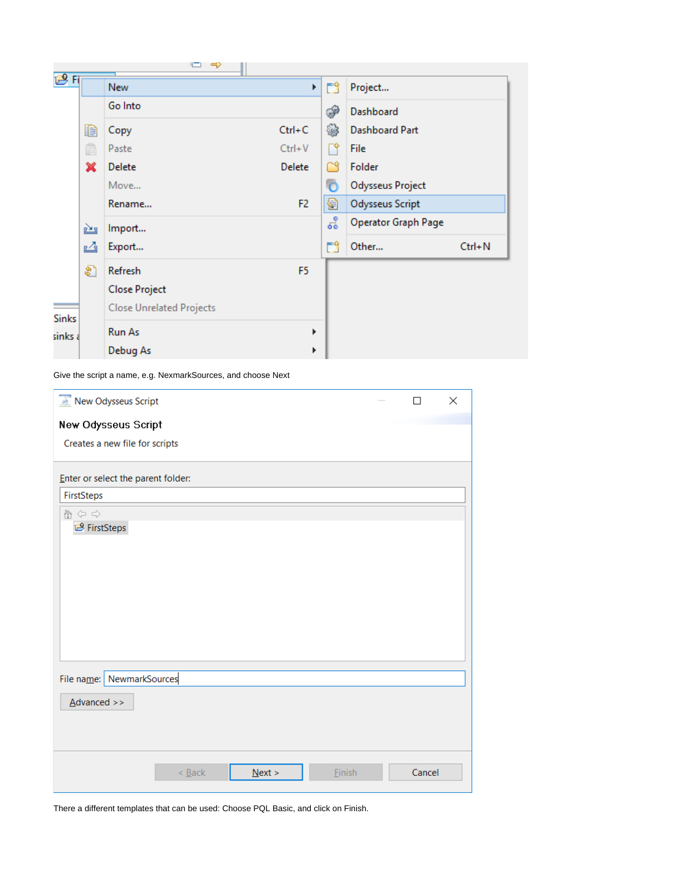|              |   | "⊐ ⇔                            |                |    |                     |            |
|--------------|---|---------------------------------|----------------|----|---------------------|------------|
| <b>图Fi</b>   |   | <b>New</b>                      | k              | 門  | Project             |            |
|              |   | Go Into                         |                | P  | Dashboard           |            |
|              | € | Copy                            | $Ctrl + C$     |    | Dashboard Part      |            |
|              | Ê | Paste                           | $Ctrl + V$     | ⊤Ŷ | File                |            |
|              | × | Delete                          | Delete         | ™  | Folder              |            |
|              |   | Move                            |                |    | Odysseus Project    |            |
|              |   | Rename                          | F <sub>2</sub> | 8  | Odysseus Script     |            |
|              | è | Import                          |                | 엽  | Operator Graph Page |            |
|              | M | Export                          |                | ΓÎ | Other               | $Ctrl + N$ |
|              | ଛ | Refresh                         | F <sub>5</sub> |    |                     |            |
|              |   | <b>Close Project</b>            |                |    |                     |            |
| <b>Sinks</b> |   | <b>Close Unrelated Projects</b> |                |    |                     |            |
| sinks a      |   | Run As                          | r              |    |                     |            |
|              |   | Debug As                        | ▶              |    |                     |            |

Give the script a name, e.g. NexmarkSources, and choose Next

| New Odysseus Script                |                             |           |        | П      | $\times$ |
|------------------------------------|-----------------------------|-----------|--------|--------|----------|
| New Odysseus Script                |                             |           |        |        |          |
| Creates a new file for scripts     |                             |           |        |        |          |
|                                    |                             |           |        |        |          |
| Enter or select the parent folder: |                             |           |        |        |          |
| FirstSteps                         |                             |           |        |        |          |
| 合令合                                |                             |           |        |        |          |
| FirstSteps                         |                             |           |        |        |          |
|                                    |                             |           |        |        |          |
|                                    |                             |           |        |        |          |
|                                    |                             |           |        |        |          |
|                                    |                             |           |        |        |          |
|                                    |                             |           |        |        |          |
|                                    |                             |           |        |        |          |
|                                    |                             |           |        |        |          |
|                                    |                             |           |        |        |          |
| File name: NewmarkSources          |                             |           |        |        |          |
| $\Delta$ dvanced >>                |                             |           |        |        |          |
|                                    |                             |           |        |        |          |
|                                    |                             |           |        |        |          |
|                                    |                             |           |        |        |          |
|                                    | $< \underline{\text{Back}}$ | $N$ ext > | Einish | Cancel |          |
|                                    |                             |           |        |        |          |

There a different templates that can be used: Choose PQL Basic, and click on Finish.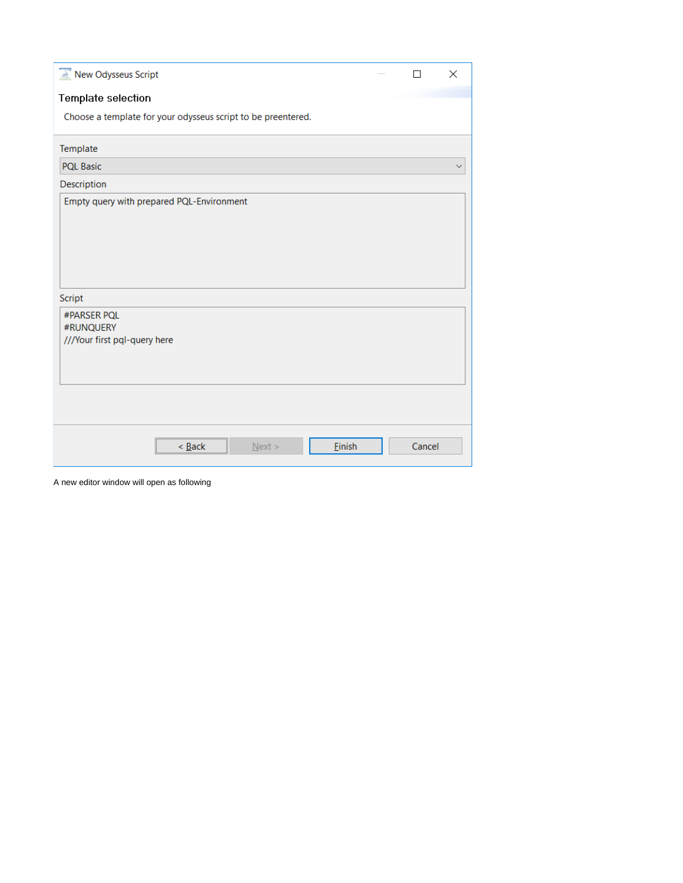| New Odysseus Script                                          |  | п      | × |
|--------------------------------------------------------------|--|--------|---|
| Template selection                                           |  |        |   |
| Choose a template for your odysseus script to be preentered. |  |        |   |
| Template                                                     |  |        |   |
| <b>PQL Basic</b>                                             |  |        | w |
| Description                                                  |  |        |   |
| Empty query with prepared PQL-Environment                    |  |        |   |
| Script                                                       |  |        |   |
| #PARSER PQL<br>#RUNQUERY<br>///Your first pql-query here     |  |        |   |
|                                                              |  |        |   |
| Einish<br>$<$ Back<br>Next                                   |  | Cancel |   |

A new editor window will open as following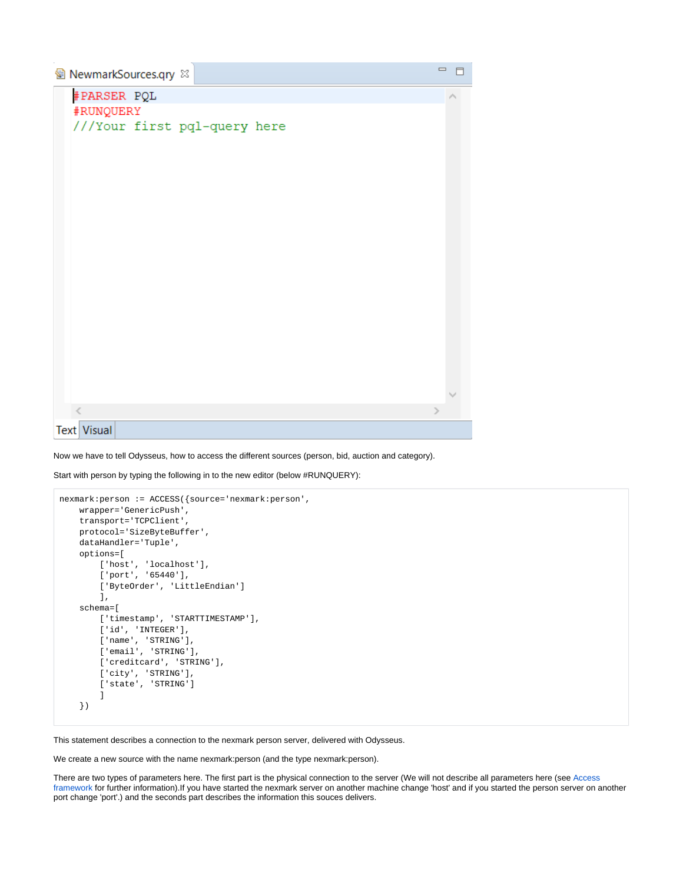| 图 NewmarkSources.qry 88      | $\qquad \qquad \blacksquare$ |
|------------------------------|------------------------------|
| #PARSER PQL                  |                              |
| #RUNQUERY                    |                              |
| ///Your first pql-query here |                              |
|                              |                              |
|                              |                              |
|                              |                              |
|                              |                              |
|                              |                              |
|                              |                              |
|                              |                              |
|                              |                              |
|                              |                              |
|                              |                              |
|                              |                              |
|                              |                              |
|                              |                              |
|                              |                              |
|                              | э                            |
| <b>Text Visual</b>           |                              |

Now we have to tell Odysseus, how to access the different sources (person, bid, auction and category).

Start with person by typing the following in to the new editor (below #RUNQUERY):

```
nexmark:person := ACCESS({source='nexmark:person',
     wrapper='GenericPush',
     transport='TCPClient',
     protocol='SizeByteBuffer',
     dataHandler='Tuple',
     options=[
        ['host', 'localhost'],
         ['port', '65440'],
         ['ByteOrder', 'LittleEndian']
        ],
     schema=[
         ['timestamp', 'STARTTIMESTAMP'],
         ['id', 'INTEGER'],
         ['name', 'STRING'],
        ['email', 'STRING'],
        ['creditcard', 'STRING'],
         ['city', 'STRING'],
        ['state', 'STRING']
        \, \, \, })
```
This statement describes a connection to the nexmark person server, delivered with Odysseus.

We create a new source with the name nexmark:person (and the type nexmark:person).

There are two types of parameters here. The first part is the physical connection to the server (We will not describe all parameters here (see [Access](https://wiki.odysseus.informatik.uni-oldenburg.de/display/ODYSSEUS/Access+framework)  [framework](https://wiki.odysseus.informatik.uni-oldenburg.de/display/ODYSSEUS/Access+framework) for further information).If you have started the nexmark server on another machine change 'host' and if you started the person server on another port change 'port'.) and the seconds part describes the information this souces delivers.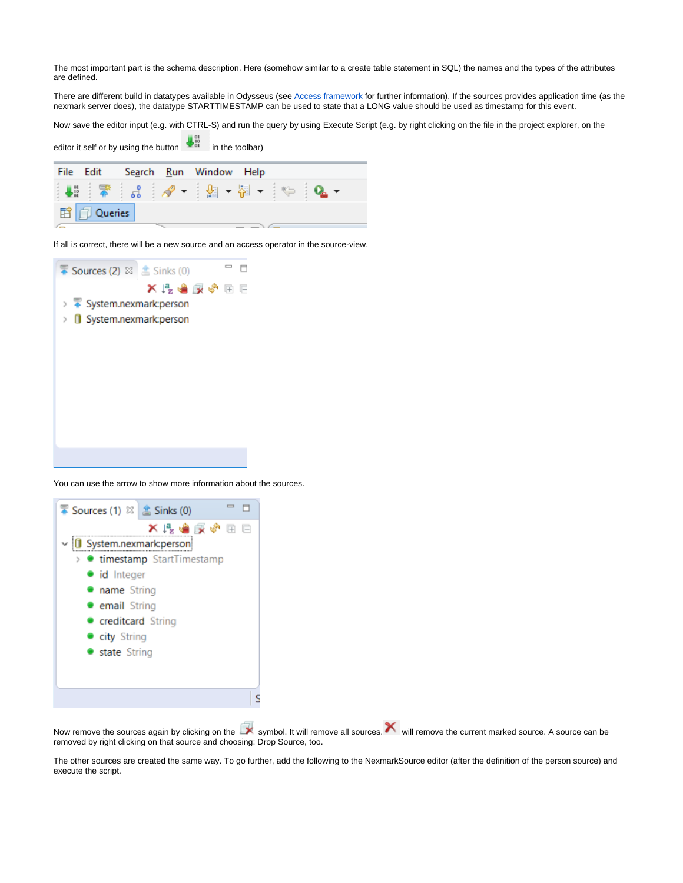The most important part is the schema description. Here (somehow similar to a create table statement in SQL) the names and the types of the attributes are defined.

There are different build in datatypes available in Odysseus (see [Access framework](https://wiki.odysseus.informatik.uni-oldenburg.de/display/ODYSSEUS/Access+framework) for further information). If the sources provides application time (as the nexmark server does), the datatype STARTTIMESTAMP can be used to state that a LONG value should be used as timestamp for this event.

Now save the editor input (e.g. with CTRL-S) and run the query by using Execute Script (e.g. by right clicking on the file in the project explorer, on the

|                              | editor it self or by using the button |                                         | in the toolbar) |               |  |
|------------------------------|---------------------------------------|-----------------------------------------|-----------------|---------------|--|
| File Edit                    |                                       | Se <u>a</u> rch <u>R</u> un Window Help |                 |               |  |
|                              | ┆₩┊常┆╏┆∥ノ▼┊⊠ ▼ @ ▼ ┆╚┈                |                                         |                 | $Q_{\rm a}$ + |  |
| <b>ff</b> [ <i>I</i> Queries |                                       |                                         |                 |               |  |
|                              |                                       |                                         |                 |               |  |

 $\frac{1}{2}$   $\frac{01}{2}$ 

If all is correct, there will be a new source and an access operator in the source-view.



You can use the arrow to show more information about the sources.



Now remove the sources again by clicking on the symbol. It will remove all sources. We will remove the current marked source. A source can be removed by right clicking on that source and choosing: Drop Source, too.

The other sources are created the same way. To go further, add the following to the NexmarkSource editor (after the definition of the person source) and execute the script.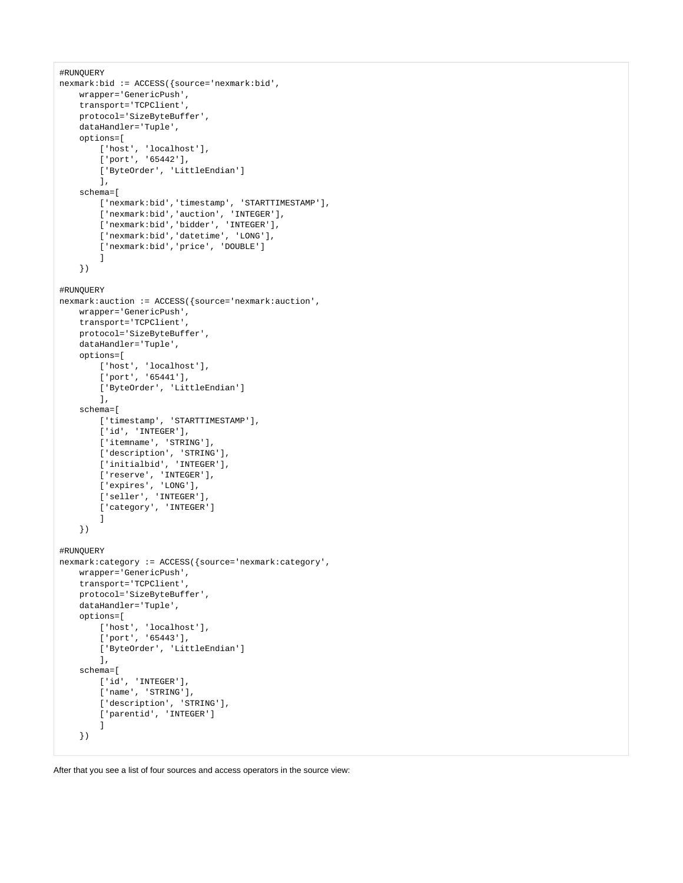```
#RUNQUERY
nexmark:bid := ACCESS({source='nexmark:bid',
    wrapper='GenericPush',
     transport='TCPClient',
    protocol='SizeByteBuffer',
    dataHandler='Tuple',
     options=[
         ['host', 'localhost'],
        ['port', '65442'],
         ['ByteOrder', 'LittleEndian']
         ],
     schema=[
         ['nexmark:bid','timestamp', 'STARTTIMESTAMP'],
        ['nexmark:bid','auction', 'INTEGER'],
         ['nexmark:bid','bidder', 'INTEGER'], 
         ['nexmark:bid','datetime', 'LONG'],
         ['nexmark:bid','price', 'DOUBLE']
         ]
     })
#RUNQUERY 
nexmark:auction := ACCESS({source='nexmark:auction',
     wrapper='GenericPush',
     transport='TCPClient',
    protocol='SizeByteBuffer',
    dataHandler='Tuple',
    options=[
         ['host', 'localhost'],
        ['port', '65441'],
         ['ByteOrder', 'LittleEndian']
        \overline{\phantom{a}} schema=[
         ['timestamp', 'STARTTIMESTAMP'],
         ['id', 'INTEGER'],
        ['itemname', 'STRING'],
        ['description', 'STRING'],
        ['initialbid', 'INTEGER'],
        ['reserve', 'INTEGER'],
         ['expires', 'LONG'],
         ['seller', 'INTEGER'],
        ['category', 'INTEGER']
         ]
     })
#RUNQUERY 
nexmark:category := ACCESS({source='nexmark:category',
    wrapper='GenericPush',
    transport='TCPClient',
    protocol='SizeByteBuffer',
    dataHandler='Tuple',
    options=[
        ['host', 'localhost'],
        ['port', '65443'],
         ['ByteOrder', 'LittleEndian']
         ],
     schema=[
        ['id', 'INTEGER'],
        ['name', 'STRING'],
       ['description', 'STRING'],
         ['parentid', 'INTEGER']
         ]
     })
```
After that you see a list of four sources and access operators in the source view: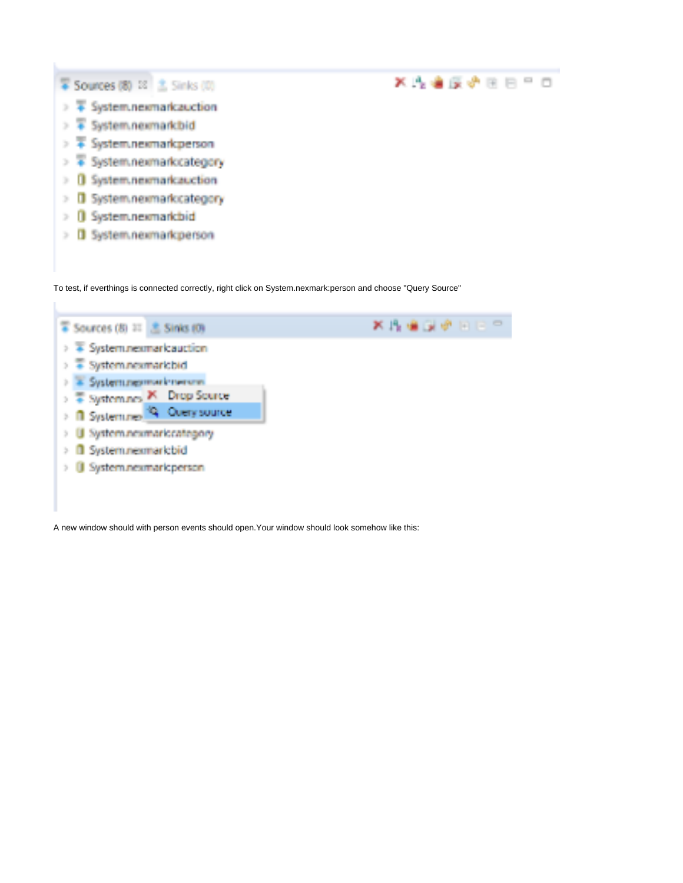

To test, if everthings is connected correctly, right click on System.nexmark:person and choose "Query Source"



A new window should with person events should open.Your window should look somehow like this: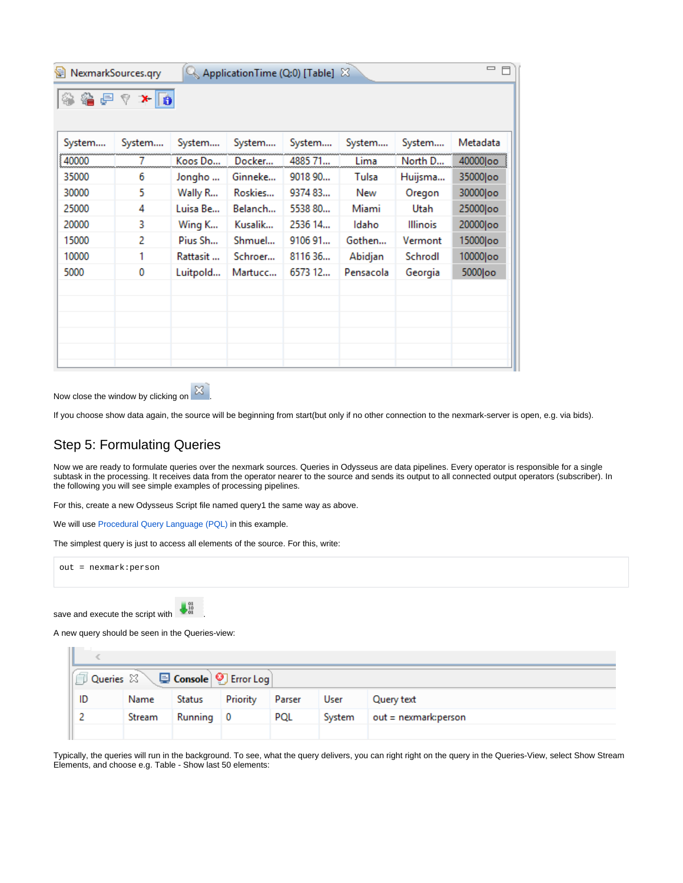| NexmarkSources.qry<br>ApplicationTime (Q:0) [Table] $\%$ |                 |          |         |         |           | $=$ $F$         |            |
|----------------------------------------------------------|-----------------|----------|---------|---------|-----------|-----------------|------------|
| 参着尸个                                                     | $x \parallel 0$ |          |         |         |           |                 |            |
| System                                                   | System          | System   | System  | System  | System    | System          | Metadata   |
| 40000                                                    |                 | Koos Do  | Docker  | 4885 71 | Lima      | North D         | 40000   oo |
| 35000                                                    | 6               | Jongho   | Ginneke | 9018 90 | Tulsa     | Huijsma         | 35000 loo  |
| 30000                                                    | 5               | Wally R  | Roskies | 9374 83 | New       | Oregon          | 30000 oo   |
| 25000                                                    | 4               | Luisa Be | Belanch | 5538 80 | Miami     | Utah            | 25000 oo   |
| 20000                                                    | 3               | Wing K   | Kusalik | 2536 14 | Idaho     | <b>Illinois</b> | 20000 oo   |
| 15000                                                    | 2               | Pius Sh  | Shmuel  | 9106 91 | Gothen    | Vermont         | 15000 loo  |
| 10000                                                    | 1               | Rattasit | Schroer | 8116 36 | Abidjan   | Schrodl         | 10000 oo   |
| 5000                                                     | 0               | Luitpold | Martucc | 6573 12 | Pensacola | Georgia         | 5000 loo   |
|                                                          |                 |          |         |         |           |                 |            |
|                                                          |                 |          |         |         |           |                 |            |
|                                                          |                 |          |         |         |           |                 |            |
|                                                          |                 |          |         |         |           |                 |            |
|                                                          |                 |          |         |         |           |                 |            |
|                                                          |                 |          |         |         |           |                 |            |

Now close the window by clicking on  $\boxed{\boxtimes}$ 



If you choose show data again, the source will be beginning from start(but only if no other connection to the nexmark-server is open, e.g. via bids).

### Step 5: Formulating Queries

Now we are ready to formulate queries over the nexmark sources. Queries in Odysseus are data pipelines. Every operator is responsible for a single subtask in the processing. It receives data from the operator nearer to the source and sends its output to all connected output operators (subscriber). In the following you will see simple examples of processing pipelines.

For this, create a new Odysseus Script file named query1 the same way as above.

We will use [Procedural Query Language \(PQL\)](https://wiki.odysseus.informatik.uni-oldenburg.de/pages/viewpage.action?pageId=4587829) in this example.

The simplest query is just to access all elements of the source. For this, write:

out = nexmark:person save and execute the script with  $\bigcup_{n=1}^{\infty}$ 

A new query should be seen in the Queries-view:

**COLLECTION** 

| $\textcircled{1}$ Queries $\boxtimes \diagdown$ $\textcircled{1}$ Console $\textcircled{2}$ Error Log |        |           |          |        |        |                         |
|-------------------------------------------------------------------------------------------------------|--------|-----------|----------|--------|--------|-------------------------|
| ID                                                                                                    | Name   | Status    | Priority | Parser | User   | Query text              |
|                                                                                                       | Stream | Running 0 |          | PQL    | System | $out =$ nexmark: person |
|                                                                                                       |        |           |          |        |        |                         |

Typically, the queries will run in the background. To see, what the query delivers, you can right right on the query in the Queries-View, select Show Stream Elements, and choose e.g. Table - Show last 50 elements: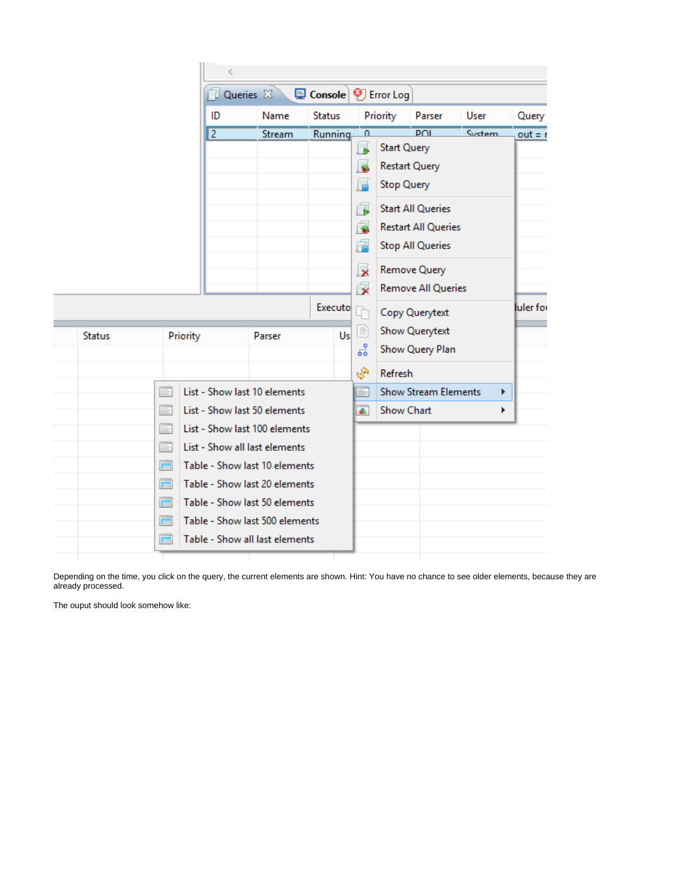|               |                |          | Queries &                      | <b>D</b> Console <b>9</b> Error Log |    |                    |                             |        |           |
|---------------|----------------|----------|--------------------------------|-------------------------------------|----|--------------------|-----------------------------|--------|-----------|
|               |                | ID       | Name                           | <b>Status</b>                       |    | Priority           | Parser                      | User   | Query     |
|               |                | ΪZ       | Stream                         | Running                             | Ω  |                    | <b>DOI</b>                  | System | $out = r$ |
|               |                |          |                                |                                     | Le | <b>Start Query</b> |                             |        |           |
|               |                |          |                                |                                     | ی) |                    | <b>Restart Query</b>        |        |           |
|               |                |          |                                |                                     | E  | <b>Stop Query</b>  |                             |        |           |
|               |                |          |                                |                                     | f. |                    | <b>Start All Queries</b>    |        |           |
|               |                |          |                                |                                     | Ġ  |                    | <b>Restart All Queries</b>  |        |           |
|               |                |          |                                |                                     | 扂  |                    | <b>Stop All Queries</b>     |        |           |
|               |                |          |                                |                                     | x  |                    | Remove Query                |        |           |
|               |                |          |                                |                                     | 佞  |                    | <b>Remove All Queries</b>   |        |           |
|               |                |          |                                | Executo <sup>1</sup>                |    |                    | Copy Querytext              |        | luler for |
| <b>Status</b> |                | Priority | Parser                         | Usl                                 | ≣  |                    | <b>Show Querytext</b>       |        |           |
|               |                |          |                                |                                     | 엽  |                    | Show Query Plan             |        |           |
|               |                |          |                                |                                     | R. | Refresh            |                             |        |           |
|               | E              |          | List - Show last 10 elements   |                                     | m. |                    | <b>Show Stream Elements</b> | r      |           |
|               | E              |          | List - Show last 50 elements   |                                     | a. | <b>Show Chart</b>  |                             |        |           |
|               | E              |          | List - Show last 100 elements  |                                     |    |                    |                             |        |           |
|               | E              |          | List - Show all last elements  |                                     |    |                    |                             |        |           |
|               | 曲              |          | Table - Show last 10 elements  |                                     |    |                    |                             |        |           |
|               | $\blacksquare$ |          | Table - Show last 20 elements  |                                     |    |                    |                             |        |           |
|               | $\blacksquare$ |          | Table - Show last 50 elements  |                                     |    |                    |                             |        |           |
|               | Œ              |          | Table - Show last 500 elements |                                     |    |                    |                             |        |           |
|               | <b>FEI</b>     |          | Table - Show all last elements |                                     |    |                    |                             |        |           |

Depending on the time, you click on the query, the current elements are shown. Hint: You have no chance to see older elements, because they are already processed.

The ouput should look somehow like: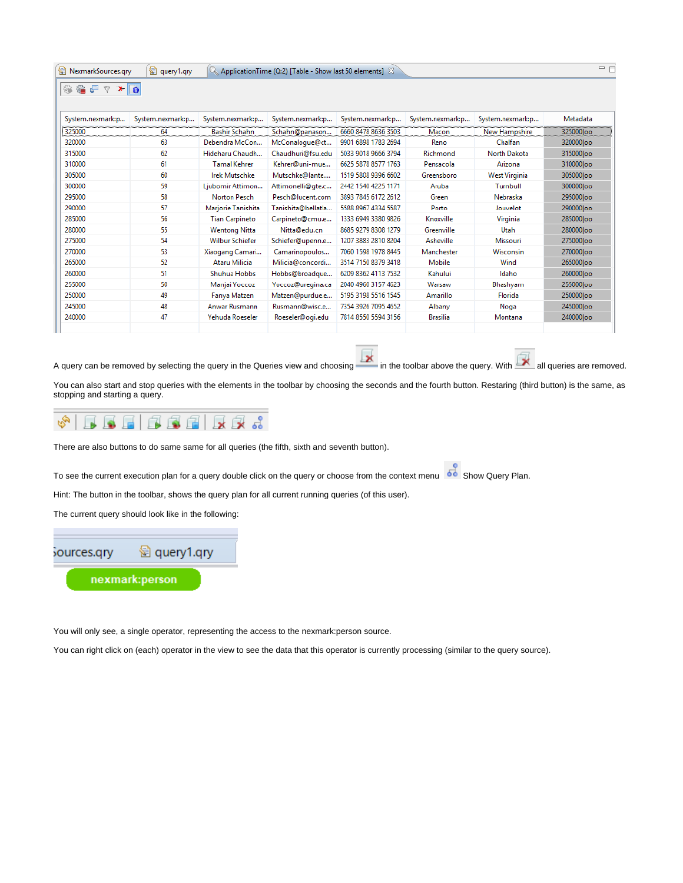| 窗 NexmarkSources.qry | 图 query1.qry     |                        | $\mathbb{Q}_n$ Application Time (Q:2) [Table - Show last 50 elements] $\mathbb{X}_n$ |                     |                  |                  | 三 日        |
|----------------------|------------------|------------------------|--------------------------------------------------------------------------------------|---------------------|------------------|------------------|------------|
| ●日々★同<br>₩           |                  |                        |                                                                                      |                     |                  |                  |            |
| System.nexmark:p     | System.nexmark:p | System.nexmark:p       | System.nexmark:p                                                                     | System.nexmark:p    | System.nexmark:p | System.nexmark:p | Metadata   |
| 325000               | 64               | <b>Bashir Schahn</b>   | Schahn@panason                                                                       | 6660 8478 8636 3503 | Macon            | New Hampshire    | 325000 oo  |
| 320000               | 63               | Debendra McCon         | McConalogue@ct                                                                       | 9901 6898 1783 2694 | Reno             | Chalfan          | 320000 loo |
| 315000               | 62               | Hideharu Chaudh        | Chaudhuri@fsu.edu                                                                    | 5033 9018 9666 3794 | Richmond         | North Dakota     | 315000 loo |
| 310000               | 61               | <b>Tamal Kehrer</b>    | Kehrer@uni-mue                                                                       | 6625 5878 8577 1763 | Pensacola        | Arizona          | 310000 loo |
| 305000               | 60               | <b>Irek Mutschke</b>   | Mutschke@lante                                                                       | 1519 5808 9396 6602 | Greensboro       | West Virginia    | 305000loo  |
| 300000               | 59               | Ljubomir Attimon       | Attimonelli@gte.c                                                                    | 2442 1540 4225 1171 | Aruba            | Turnbull         | 300000 loo |
| 295000               | 58               | Norton Pesch           | Pesch@lucent.com                                                                     | 3893 7845 6172 2612 | Green            | Nebraska         | 295000 loo |
| 290000               | 57               | Marjorie Tanishita     | Tanishita@bellatla                                                                   | 5588 8967 4334 5587 | Porto            | Jouvelot         | 290000 loo |
| 285000               | 56               | <b>Tian Carpineto</b>  | Carpineto@cmu.e                                                                      | 1333 6949 3380 9826 | Knoxville        | Virginia         | 285000loo  |
| 280000               | 55               | <b>Wentong Nitta</b>   | Nitta@edu.cn                                                                         | 8685 9279 8308 1279 | Greenville       | Utah             | 280000loo  |
| 275000               | 54               | <b>Wilbur Schiefer</b> | Schiefer@upenn.e                                                                     | 1207 3883 2810 8204 | Asheville        | Missouri         | 275000 oo  |
| 270000               | 53               | Xiaogang Camari        | Camarinopoulos                                                                       | 7060 1598 1978 8445 | Manchester       | <b>Wisconsin</b> | 270000 oo  |
| 265000               | 52               | Ataru Milicia          | Milicia@concordi                                                                     | 3514 7150 8379 3418 | Mobile           | Wind             | 265000 oo  |
| 260000               | 51               | Shuhua Hobbs           | Hobbs@broadque                                                                       | 6209 8362 4113 7532 | Kahului          | Idaho            | 260000 loo |
| 255000               | 50               | Manjai Yoccoz          | Yoccoz@uregina.ca                                                                    | 2040 4960 3157 4623 | Warsaw           | Bhashyam         | 255000 oo  |
| 250000               | 49               | Fanya Matzen           | Matzen@purdue.e                                                                      | 5195 3198 5516 1545 | Amarillo         | Florida          | 250000 loo |
| 245000               | 48               | Anwar Rusmann          | Rusmann@wisc.e                                                                       | 7354 3926 7095 4652 | Albany           | Noga             | 245000 loo |
| 240000               | 47               | Yehuda Roeseler        | Roeseler@ogi.edu                                                                     | 7814 8550 5594 3156 | <b>Brasilia</b>  | Montana          | 240000 loo |
|                      |                  |                        |                                                                                      |                     |                  |                  |            |

A query can be removed by selecting the query in the Queries view and choosing in the toolbar above the query. With all queries are removed.

You can also start and stop queries with the elements in the toolbar by choosing the seconds and the fourth button. Restaring (third button) is the same, as stopping and starting a query.



There are also buttons to do same same for all queries (the fifth, sixth and seventh button).

To see the current execution plan for a query double click on the query or choose from the context menu show Query Plan.

Hint: The button in the toolbar, shows the query plan for all current running queries (of this user).

The current query should look like in the following:

图 query1.qry sources.gry nexmark:person

You will only see, a single operator, representing the access to the nexmark:person source.

You can right click on (each) operator in the view to see the data that this operator is currently processing (similar to the query source).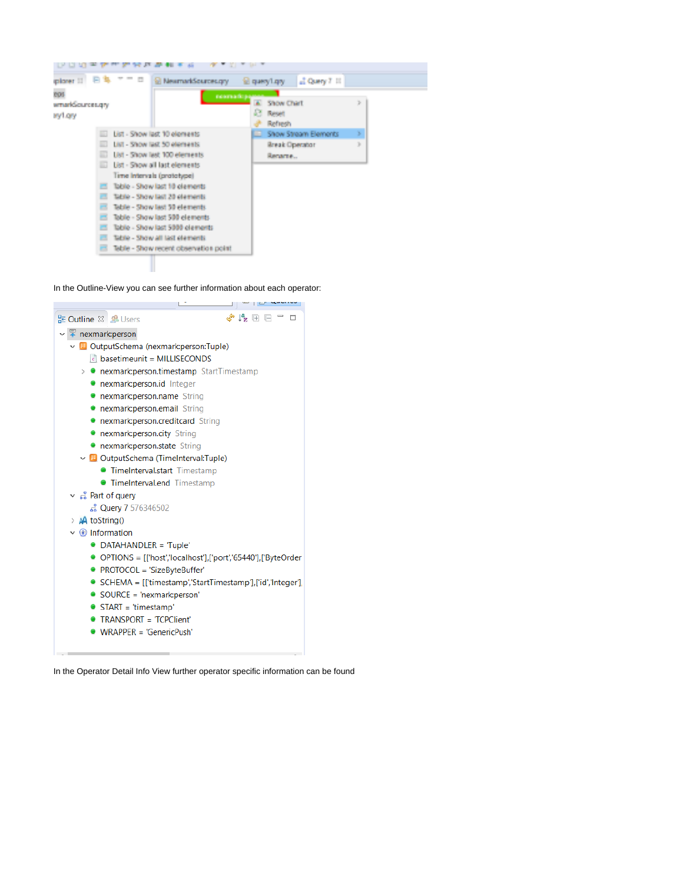

In the Outline-View you can see further information about each operator:



In the Operator Detail Info View further operator specific information can be found